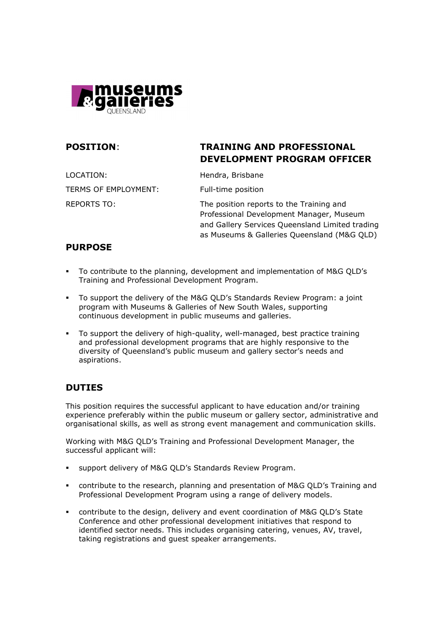

# POSITION: TRAINING AND PROFESSIONAL DEVELOPMENT PROGRAM OFFICER

LOCATION: Hendra, Brisbane TERMS OF EMPLOYMENT: Full-time position

REPORTS TO: The position reports to the Training and Professional Development Manager, Museum and Gallery Services Queensland Limited trading as Museums & Galleries Queensland (M&G QLD)

## PURPOSE

- To contribute to the planning, development and implementation of M&G QLD's Training and Professional Development Program.
- To support the delivery of the M&G QLD's Standards Review Program: a joint program with Museums & Galleries of New South Wales, supporting continuous development in public museums and galleries.
- To support the delivery of high-quality, well-managed, best practice training and professional development programs that are highly responsive to the diversity of Queensland's public museum and gallery sector's needs and aspirations.

## DUTIES

This position requires the successful applicant to have education and/or training experience preferably within the public museum or gallery sector, administrative and organisational skills, as well as strong event management and communication skills.

Working with M&G QLD's Training and Professional Development Manager, the successful applicant will:

- support delivery of M&G QLD's Standards Review Program.
- contribute to the research, planning and presentation of M&G QLD's Training and Professional Development Program using a range of delivery models.
- contribute to the design, delivery and event coordination of M&G QLD's State Conference and other professional development initiatives that respond to identified sector needs. This includes organising catering, venues, AV, travel, taking registrations and guest speaker arrangements.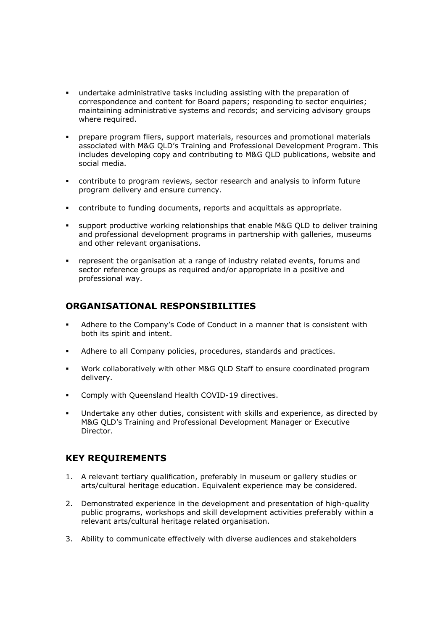- undertake administrative tasks including assisting with the preparation of correspondence and content for Board papers; responding to sector enquiries; maintaining administrative systems and records; and servicing advisory groups where required.
- prepare program fliers, support materials, resources and promotional materials associated with M&G QLD's Training and Professional Development Program. This includes developing copy and contributing to M&G QLD publications, website and social media.
- contribute to program reviews, sector research and analysis to inform future program delivery and ensure currency.
- contribute to funding documents, reports and acquittals as appropriate.
- support productive working relationships that enable M&G QLD to deliver training and professional development programs in partnership with galleries, museums and other relevant organisations.
- represent the organisation at a range of industry related events, forums and sector reference groups as required and/or appropriate in a positive and professional way.

### ORGANISATIONAL RESPONSIBILITIES

- Adhere to the Company's Code of Conduct in a manner that is consistent with both its spirit and intent.
- Adhere to all Company policies, procedures, standards and practices.
- Work collaboratively with other M&G QLD Staff to ensure coordinated program delivery.
- Comply with Queensland Health COVID-19 directives.
- Undertake any other duties, consistent with skills and experience, as directed by M&G QLD's Training and Professional Development Manager or Executive Director.

### KEY REQUIREMENTS

- 1. A relevant tertiary qualification, preferably in museum or gallery studies or arts/cultural heritage education. Equivalent experience may be considered.
- 2. Demonstrated experience in the development and presentation of high-quality public programs, workshops and skill development activities preferably within a relevant arts/cultural heritage related organisation.
- 3. Ability to communicate effectively with diverse audiences and stakeholders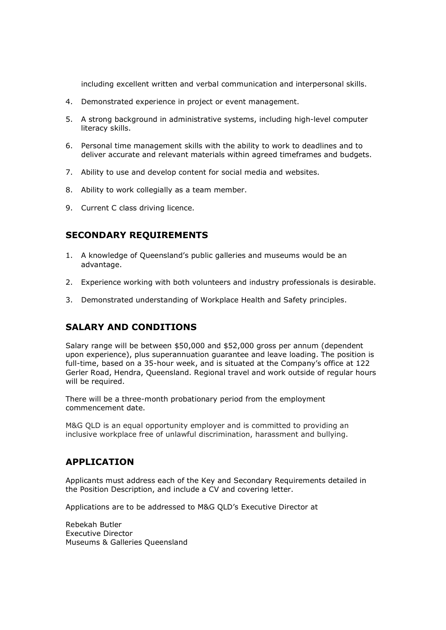including excellent written and verbal communication and interpersonal skills.

- 4. Demonstrated experience in project or event management.
- 5. A strong background in administrative systems, including high-level computer literacy skills.
- 6. Personal time management skills with the ability to work to deadlines and to deliver accurate and relevant materials within agreed timeframes and budgets.
- 7. Ability to use and develop content for social media and websites.
- 8. Ability to work collegially as a team member.
- 9. Current C class driving licence.

## SECONDARY REQUIREMENTS

- 1. A knowledge of Queensland's public galleries and museums would be an advantage.
- 2. Experience working with both volunteers and industry professionals is desirable.
- 3. Demonstrated understanding of Workplace Health and Safety principles.

## SALARY AND CONDITIONS

Salary range will be between \$50,000 and \$52,000 gross per annum (dependent upon experience), plus superannuation guarantee and leave loading. The position is full-time, based on a 35-hour week, and is situated at the Company's office at 122 Gerler Road, Hendra, Queensland. Regional travel and work outside of regular hours will be required.

There will be a three-month probationary period from the employment commencement date.

M&G QLD is an equal opportunity employer and is committed to providing an inclusive workplace free of unlawful discrimination, harassment and bullying.

### APPLICATION

Applicants must address each of the Key and Secondary Requirements detailed in the Position Description, and include a CV and covering letter.

Applications are to be addressed to M&G QLD's Executive Director at

Rebekah Butler Executive Director Museums & Galleries Queensland